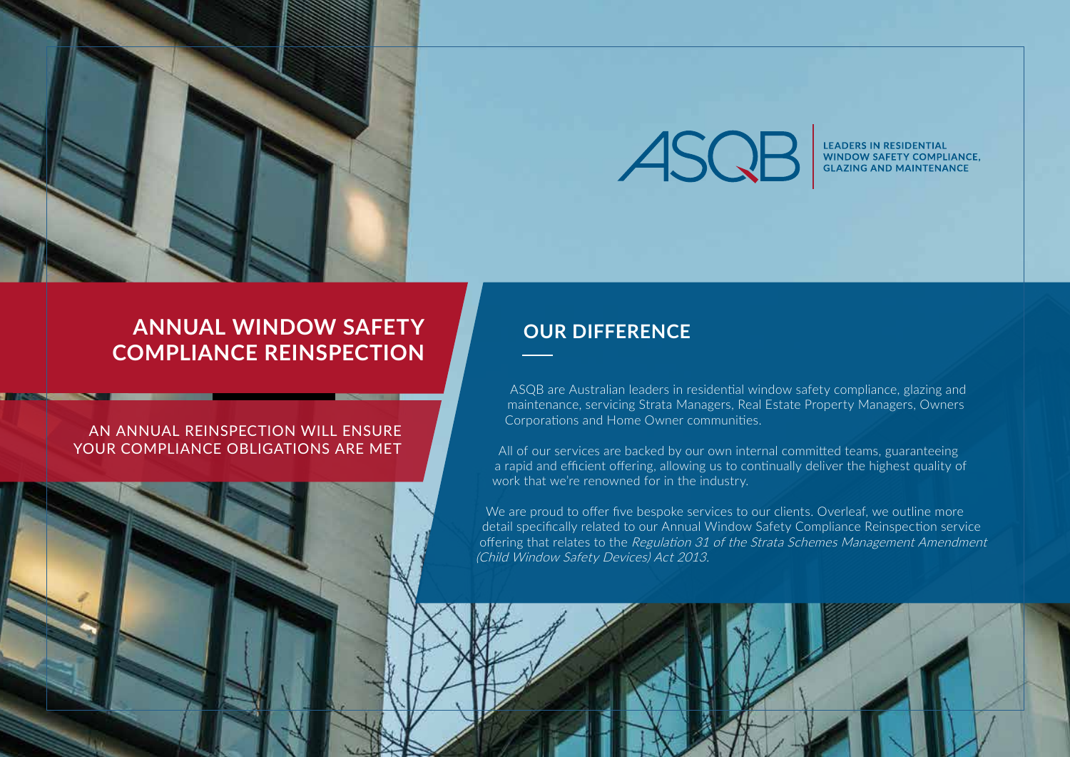



LEADERS IN RESIDENTIAL<br>WINDOW SAFETY COMPLIANCE, **GLAZING AND MAINTENANCE** 

## **ANNUAL WINDOW SAFETY COMPLIANCE REINSPECTION**

## AN ANNUAL REINSPECTION WILL ENSURE YOUR COMPLIANCE OBLIGATIONS ARE MET

## **OUR DIFFERENCE**

ASQB are Australian leaders in residential window safety compliance, glazing and maintenance, servicing Strata Managers, Real Estate Property Managers, Owners Corporations and Home Owner communities.

All of our services are backed by our own internal committed teams, guaranteeing a rapid and efficient offering, allowing us to continually deliver the highest quality of work that we're renowned for in the industry.

We are proud to offer five bespoke services to our clients. Overleaf, we outline more detail specifically related to our Annual Window Safety Compliance Reinspection service offering that relates to the Regulation 31 of the Strata Schemes Management Amendment (Child Window Safety Devices) Act 2013.